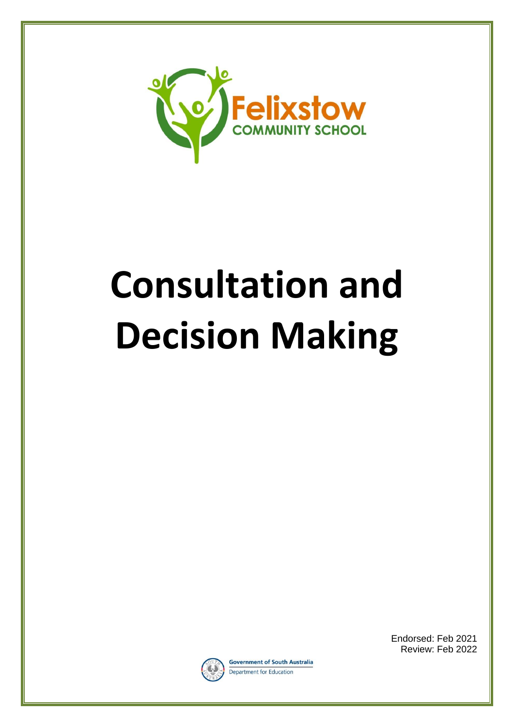

# **Consultation and Decision Making**



**Government of South Australia** Department for Education

Endorsed: Feb 2021 Review: Feb 2022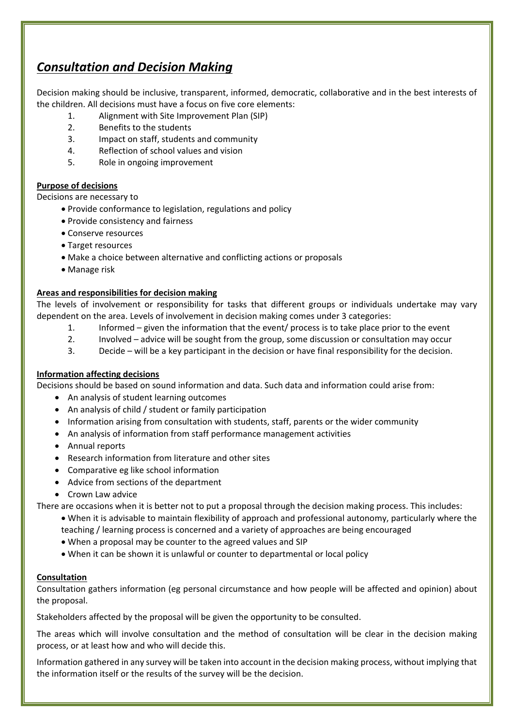# *Consultation and Decision Making*

Decision making should be inclusive, transparent, informed, democratic, collaborative and in the best interests of the children. All decisions must have a focus on five core elements:

- 1. Alignment with Site Improvement Plan (SIP)
- 2. Benefits to the students
- 3. Impact on staff, students and community
- 4. Reflection of school values and vision
- 5. Role in ongoing improvement

# **Purpose of decisions**

Decisions are necessary to

- Provide conformance to legislation, regulations and policy
- Provide consistency and fairness
- Conserve resources
- Target resources
- Make a choice between alternative and conflicting actions or proposals
- Manage risk

# **Areas and responsibilities for decision making**

The levels of involvement or responsibility for tasks that different groups or individuals undertake may vary dependent on the area. Levels of involvement in decision making comes under 3 categories:

- 1. Informed given the information that the event/ process is to take place prior to the event
- 2. Involved advice will be sought from the group, some discussion or consultation may occur
- 3. Decide will be a key participant in the decision or have final responsibility for the decision.

# **Information affecting decisions**

Decisions should be based on sound information and data. Such data and information could arise from:

- An analysis of student learning outcomes
- An analysis of child / student or family participation
- Information arising from consultation with students, staff, parents or the wider community
- An analysis of information from staff performance management activities
- Annual reports
- Research information from literature and other sites
- Comparative eg like school information
- Advice from sections of the department
- Crown Law advice

There are occasions when it is better not to put a proposal through the decision making process. This includes:

- When it is advisable to maintain flexibility of approach and professional autonomy, particularly where the teaching / learning process is concerned and a variety of approaches are being encouraged
- When a proposal may be counter to the agreed values and SIP
- When it can be shown it is unlawful or counter to departmental or local policy

# **Consultation**

Consultation gathers information (eg personal circumstance and how people will be affected and opinion) about the proposal.

Stakeholders affected by the proposal will be given the opportunity to be consulted.

The areas which will involve consultation and the method of consultation will be clear in the decision making process, or at least how and who will decide this.

Information gathered in any survey will be taken into account in the decision making process, without implying that the information itself or the results of the survey will be the decision.